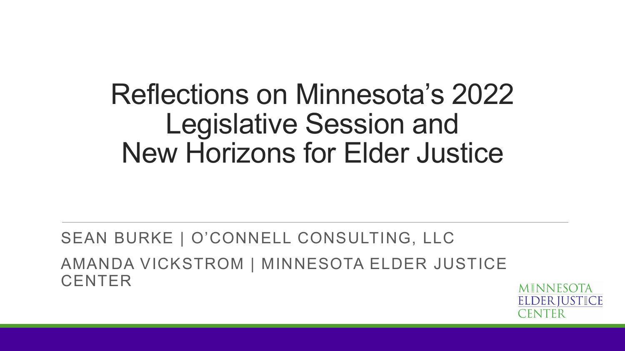#### Reflections on Minnesota's 2022 Legislative Session and New Horizons for Elder Justice

SEAN BURKE | O'CONNELL CONSULTING, LLC AMANDA VICKSTROM | MINNESOTA ELDER JUSTICE **CENTER** 

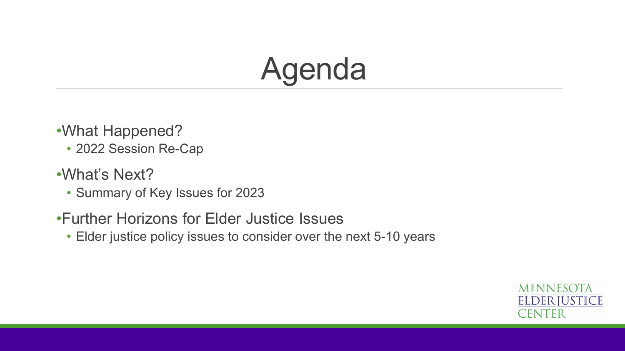### Agenda

- •What Happened?
	- 2022 Session Re-Cap
- •What's Next?
	- Summary of Key Issues for 2023
- •Further Horizons for Elder Justice Issues
	- Elder justice policy issues to consider over the next 5-10 years

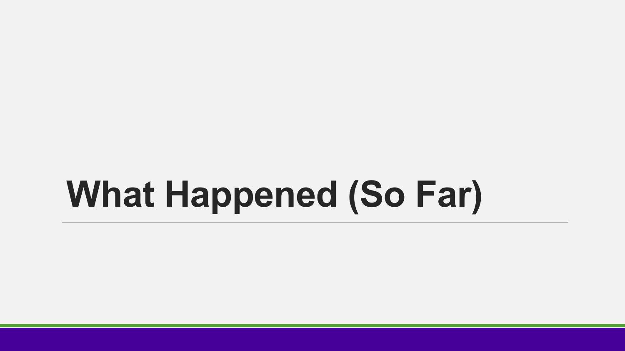# **What Happened (So Far)**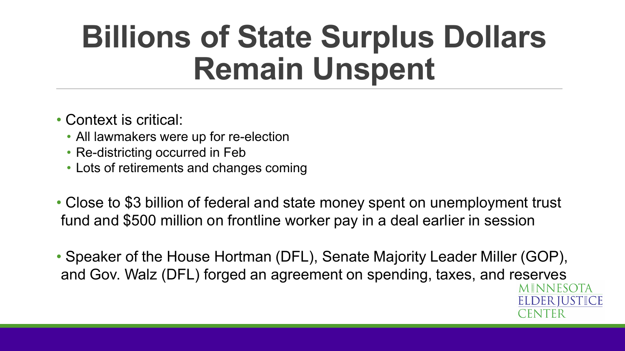## **Billions of State Surplus Dollars Remain Unspent**

- Context is critical:
	- All lawmakers were up for re-election
	- Re-districting occurred in Feb
	- Lots of retirements and changes coming
- Close to \$3 billion of federal and state money spent on unemployment trust fund and \$500 million on frontline worker pay in a deal earlier in session
- Speaker of the House Hortman (DFL), Senate Majority Leader Miller (GOP), and Gov. Walz (DFL) forged an agreement on spending, taxes, and reserves

MINNESOTA **ELDERIUSTICE**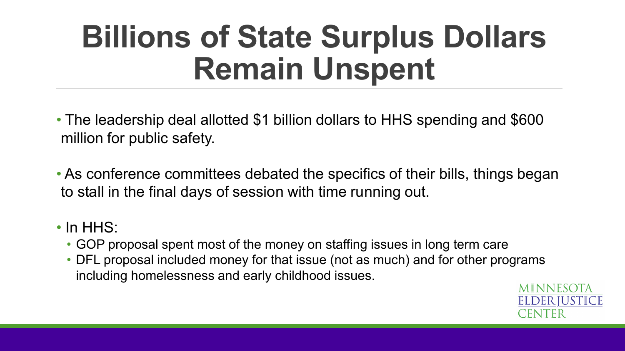# **Billions of State Surplus Dollars Remain Unspent**

- The leadership deal allotted \$1 billion dollars to HHS spending and \$600 million for public safety.
- As conference committees debated the specifics of their bills, things began to stall in the final days of session with time running out.

#### • In HHS:

- GOP proposal spent most of the money on staffing issues in long term care
- DFL proposal included money for that issue (not as much) and for other programs including homelessness and early childhood issues.

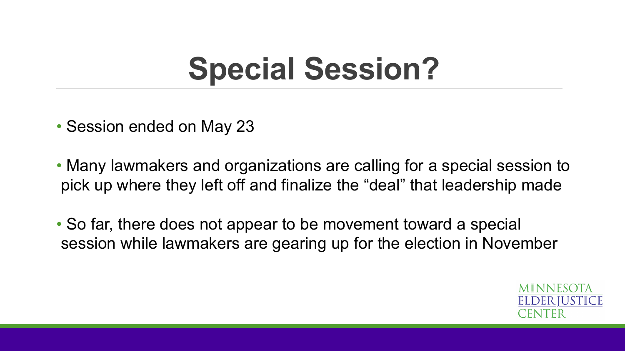# **Special Session?**

- Session ended on May 23
- Many lawmakers and organizations are calling for a special session to pick up where they left off and finalize the "deal" that leadership made
- So far, there does not appear to be movement toward a special session while lawmakers are gearing up for the election in November

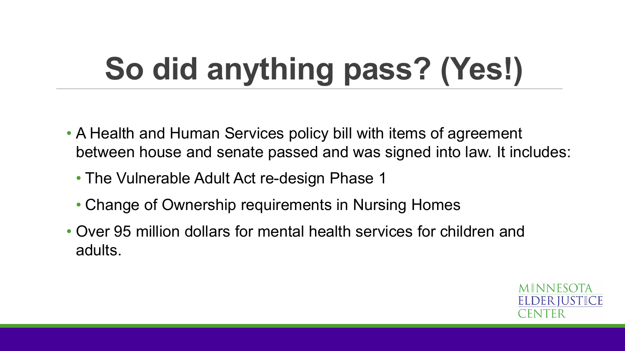# **So did anything pass? (Yes!)**

- A Health and Human Services policy bill with items of agreement between house and senate passed and was signed into law. It includes:
	- The Vulnerable Adult Act re-design Phase 1
	- Change of Ownership requirements in Nursing Homes
- Over 95 million dollars for mental health services for children and adults.

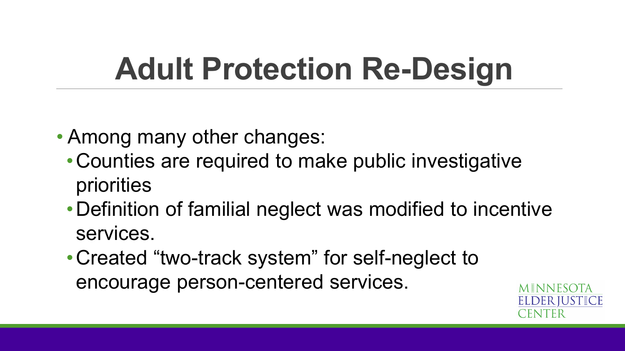# **Adult Protection Re-Design**

- Among many other changes:
	- •Counties are required to make public investigative priorities
	- •Definition of familial neglect was modified to incentive services.
	- •Created "two-track system" for self-neglect to encourage person-centered services.

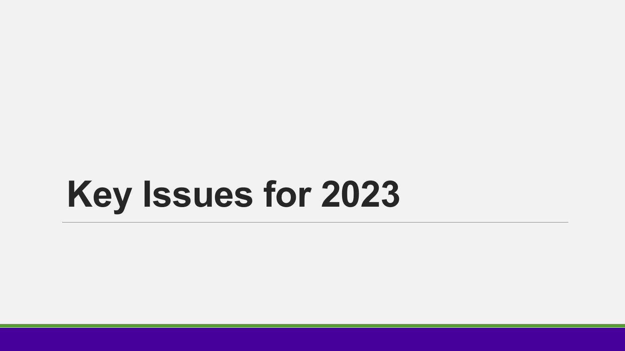# **Key Issues for 2023**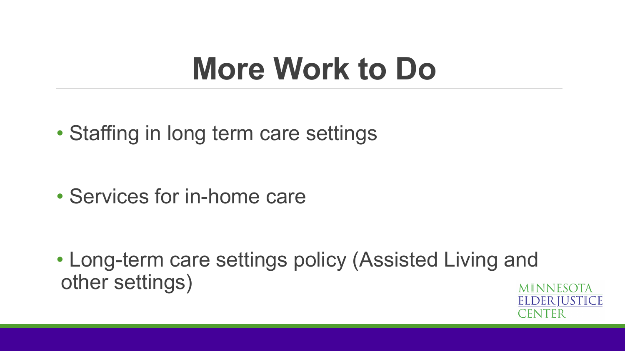#### **More Work to Do**

• Staffing in long term care settings

• Services for in-home care

• Long-term care settings policy (Assisted Living and other settings)

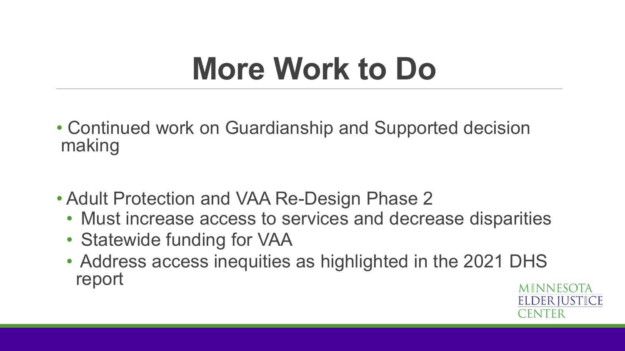### **More Work to Do**

- Continued work on Guardianship and Supported decision making
- Adult Protection and VAA Re-Design Phase 2
	- Must increase access to services and decrease disparities
	- Statewide funding for VAA
	- Address access inequities as highlighted in the 2021 DHS report

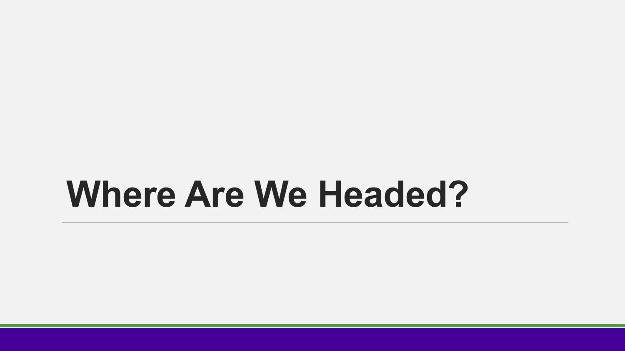# **Where Are We Headed?**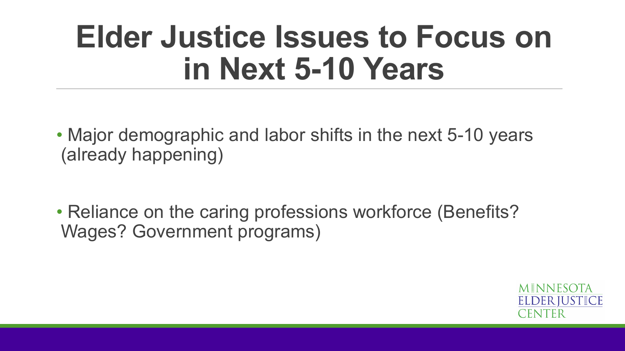#### **Elder Justice Issues to Focus on in Next 5-10 Years**

- Major demographic and labor shifts in the next 5-10 years (already happening)
- Reliance on the caring professions workforce (Benefits? Wages? Government programs)

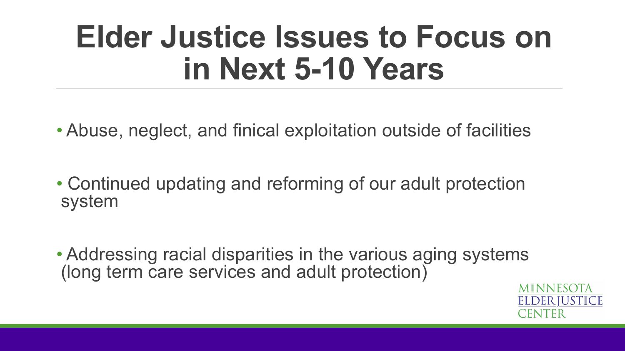#### **Elder Justice Issues to Focus on in Next 5-10 Years**

- Abuse, neglect, and finical exploitation outside of facilities
- Continued updating and reforming of our adult protection system
- Addressing racial disparities in the various aging systems (long term care services and adult protection)